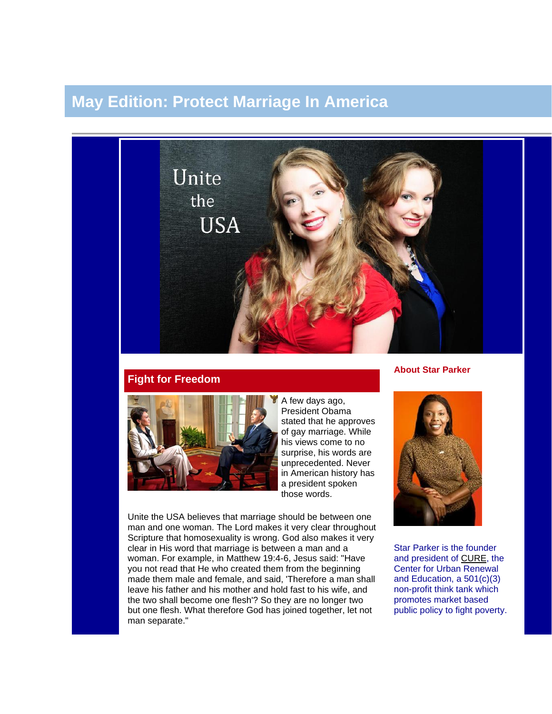# **May Edition: Protect Marriage In America**



## **Fight for Freedom**



A few days ago, President Obama stated that he approves of gay marriage. While his views come to no surprise, his words are unprecedented. Never in American history has a president spoken those words.

Unite the USA believes that marriage should be between one man and one woman. The Lord makes it very clear throughout Scripture that homosexuality is wrong. God also makes it very clear in His word that marriage is between a man and a woman. For example, in Matthew 19:4-6, Jesus said: "Have you not read that He who created them from the beginning made them male and female, and said, 'Therefore a man shall leave his father and his mother and hold fast to his wife, and the two shall become one flesh'? So they are no longer two but one flesh. What therefore God has joined together, let not man separate."

## **About Star Parker**



Star Parker is the founder and president of [CURE,](http://www.urbancure.org/) the Center for Urban Renewal and Education, a 501(c)(3) non-profit think tank which promotes market based public policy to fight poverty.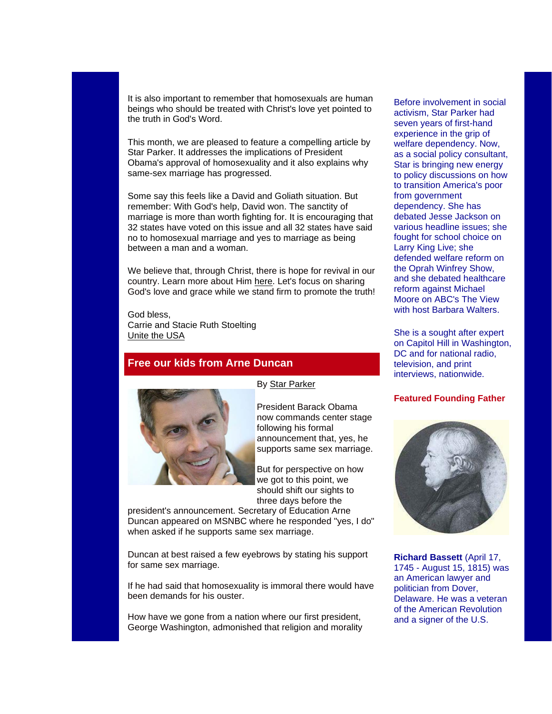It is also important to remember that homosexuals are human beings who should be treated with Christ's love yet pointed to the truth in God's Word.

This month, we are pleased to feature a compelling article by Star Parker. It addresses the implications of President Obama's approval of homosexuality and it also explains why same-sex marriage has progressed.

Some say this feels like a David and Goliath situation. But remember: With God's help, David won. The sanctity of marriage is more than worth fighting for. It is encouraging that 32 states have voted on this issue and all 32 states have said no to homosexual marriage and yes to marriage as being between a man and a woman.

We believe that, through Christ, there is hope for revival in our country. Learn more about Him [here.](http://www.prayingpals.org/knowgod.html) Let's focus on sharing God's love and grace while we stand firm to promote the truth!

God bless, Carrie and Stacie Ruth Stoelting [Unite the USA](http://unitetheusa.org/index.html)

## **Free our kids from Arne Duncan**



President Barack Obama now commands center stage following his formal announcement that, yes, he supports same sex marriage.

But for perspective on how we got to this point, we should shift our sights to three days before the

president's announcement. Secretary of Education Arne Duncan appeared on MSNBC where he responded "yes, I do" when asked if he supports same sex marriage.

Duncan at best raised a few eyebrows by stating his support for same sex marriage.

If he had said that homosexuality is immoral there would have been demands for his ouster.

How have we gone from a nation where our first president, George Washington, admonished that religion and morality Before involvement in social activism, Star Parker had seven years of first-hand experience in the grip of welfare dependency. Now, as a social policy consultant, Star is bringing new energy to policy discussions on how to transition America's poor from government dependency. She has debated Jesse Jackson on various headline issues; she fought for school choice on Larry King Live; she defended welfare reform on the Oprah Winfrey Show, and she debated healthcare reform against Michael Moore on ABC's The View with host Barbara Walters.

She is a sought after expert on Capitol Hill in Washington, DC and for national radio, television, and print interviews, nationwide.

#### **Featured Founding Father**



**Richard Bassett** (April 17, 1745 - August 15, 1815) was an American lawyer and politician from Dover, Delaware. He was a veteran of the American Revolution and a signer of the U.S.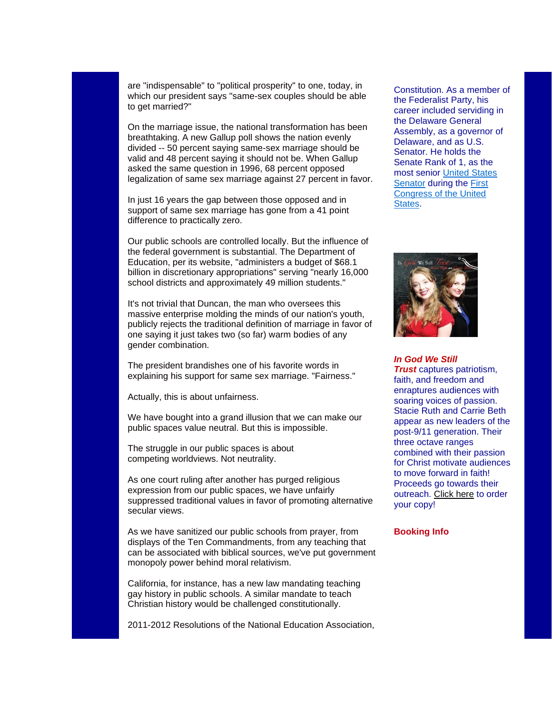are "indispensable" to "political prosperity" to one, today, in which our president says "same-sex couples should be able to get married?"

On the marriage issue, the national transformation has been breathtaking. A new Gallup poll shows the nation evenly divided -- 50 percent saying same-sex marriage should be valid and 48 percent saying it should not be. When Gallup asked the same question in 1996, 68 percent opposed legalization of same sex marriage against 27 percent in favor.

In just 16 years the gap between those opposed and in support of same sex marriage has gone from a 41 point difference to practically zero.

Our public schools are controlled locally. But the influence of the federal government is substantial. The Department of Education, per its website, "administers a budget of \$68.1 billion in discretionary appropriations" serving "nearly 16,000 school districts and approximately 49 million students."

It's not trivial that Duncan, the man who oversees this massive enterprise molding the minds of our nation's youth, publicly rejects the traditional definition of marriage in favor of one saying it just takes two (so far) warm bodies of any gender combination.

The president brandishes one of his favorite words in explaining his support for same sex marriage. "Fairness."

Actually, this is about unfairness.

We have bought into a grand illusion that we can make our public spaces value neutral. But this is impossible.

The struggle in our public spaces is about competing worldviews. Not neutrality.

As one court ruling after another has purged religious expression from our public spaces, we have unfairly suppressed traditional values in favor of promoting alternative secular views.

As we have sanitized our public schools from prayer, from displays of the Ten Commandments, from any teaching that can be associated with biblical sources, we've put government monopoly power behind moral relativism.

California, for instance, has a new law mandating teaching gay history in public schools. A similar mandate to teach Christian history would be challenged constitutionally.

2011-2012 Resolutions of the National Education Association,

Constitution. As a member of the Federalist Party, his career included serviding in the Delaware General Assembly, as a governor of Delaware, and as U.S. Senator. He holds the Senate Rank of 1, as the most senior [United States](http://unitetheusa.org/id72.html)  [Senator](http://unitetheusa.org/id72.html) during the [First](http://unitetheusa.org/id72.html)  [Congress of the United](http://unitetheusa.org/id72.html)  [States.](http://unitetheusa.org/id72.html)



*In God We Still* 

*Trust* captures patriotism, faith, and freedom and enraptures audiences with soaring voices of passion. Stacie Ruth and Carrie Beth appear as new leaders of the post-9/11 generation. Their three octave ranges combined with their passion for Christ motivate audiences to move forward in faith! Proceeds go towards their outreach. [Click here](http://unitetheusa.org/id56.html) to order your copy!

### **Booking Info**